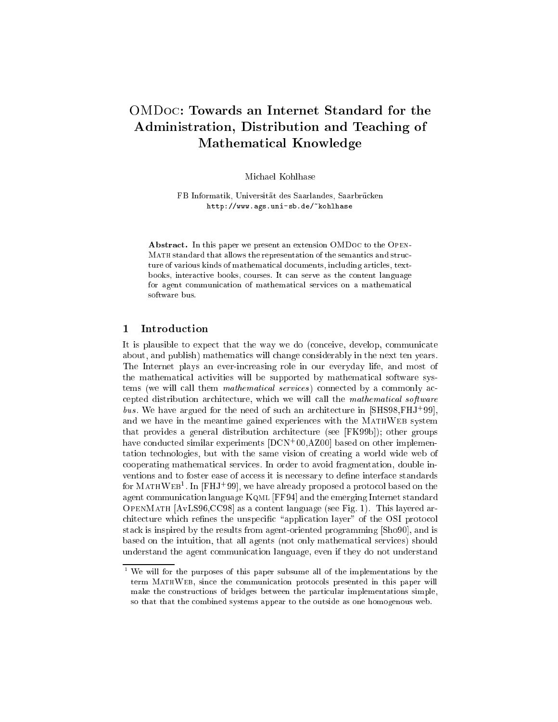# OMDo
: Towards an Internet Standard for the Administration, Distribution and Teaching of Mathemati
al Knowledge

Mi
hael Kohlhase

FB Informatik, Universität des Saarlandes, Saarbrücken http://www.ags.uni-sb.de/~kohlhase

Abstract. In this paper we present an extension OMDoc to the OPEN-Math standard that allows the representation of the semanti
s and stru
 ture of various kinds of mathematical documents, including articles, textbooks, intera
tive books, ourses. It an serve as the ontent language for agent communication of mathematical services on a mathematical software bus.

## 1 Introdu
tion

It is plausible to expect that the way we do (conceive, develop, communicate about, and publish) mathemati
s will hange onsiderably in the next ten years. The Internet plays an ever-increasing role in our everyday life, and most of the mathemati
al a
tivities will be supported by mathemati
al software systems (we will call them *mathematical services*) connected by a commonly accepted distribution architecture, which we will call the *mathematical software* bus. We have argued for the need of such an architecture in  $[SHS98,FHJ+99],$ and we have in the meantime gained experiences with the MATHWEB system that provides a general distribution architecture (see [FK99b]); other groups have conducted similar experiments  $[DCN^+00, AZ00]$  based on other implementation te
hnologies, but with the same vision of reating a world wide web of ooperating mathemati
al servi
es. In order to avoid fragmentation, double inventions and to foster ease of access it is necessary to define interface standards for  $MATHWEB<sup>1</sup>$ . In [FHJ+99], we have already proposed a protocol based on the agent communication language  $KQML$  [FF94] and the emerging Internet standard OpenMath [AvLS96,CC98℄ as a ontent language (see Fig. 1). This layered ar chitecture which refines the unspecific "application layer" of the OSI protocol stack is inspired by the results from agent-oriented programming [Sho90], and is based on the intuition, that all agents (not only mathemati
al servi
es) should understand the agent communication language, even if they do not understand

<sup>&</sup>lt;sup>1</sup> We will for the purposes of this paper subsume all of the implementations by the term MATHWEB, since the communication protocols presented in this paper will make the constructions of bridges between the particular implementations simple, so that that the ombined systems appear to the outside as one homogenous web.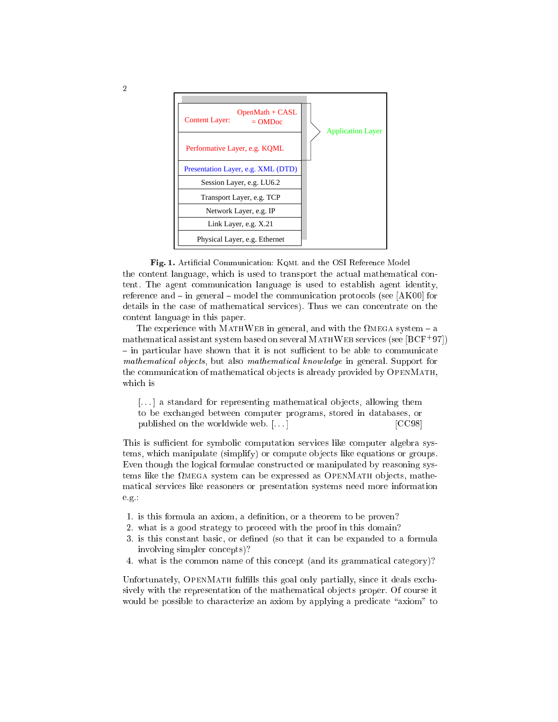

Fig. 1. Artificial Communication: KQML and the OSI Reference Model the content language, which is used to transport the actual mathematical content. The agent communication language is used to establish agent identity, reference and  $-$  in general  $-$  model the communication protocols (see [AK00] for details in the case of mathematical services). Thus we can concentrate on the ontent language in this paper.

the with mathematic metal mathematic control with the medicine  $\mathcal{L}_{\mathcal{A}}$  and with the system and with the system of  $\mathcal{L}_{\mathcal{A}}$ mathematical assistant system based on several MATHWEB services (see  $[BCF^+97]$ ) - in particular have shown that it is not sufficient to be able to communicate mathematics, but also mathematics, but also mathematics, also mathematics, where  $\sim$  where  $\sim$ the communication of mathematical objects is already provided by OPENMATH, which is

 $\left[\ldots\right]$  a standard for representing mathematical objects, allowing them to be ex
hanged between omputer programs, stored in databases, or published on the worldwide web.  $[...]$  [CC98]

This is sufficient for symbolic computation services like computer algebra systems, which manipulate (simplify) or compute objects like equations or groups. Even though the logi
al formulae onstru
ted or manipulated by reasoning systems in the theory of a pressed as OpenMath of the Community of the state of  $\mu$  as  $\mu$  is the community mati
al servi
es like reasoners or presentation systems need more information e.g.:

- 1. is this formula an axiom, a definition, or a theorem to be proven?
- 2. what is a good strategy to pro
eed with the proof in this domain?
- 3. is this onstant basi
, or dened (so that it an be expanded to a formula involving simpler concepts)?
- 4. what is the ommon name of this on
ept (and its grammati
al ategory)?

Unfortunately, OPENMATH fulfills this goal only partially, since it deals exclusively with the representation of the mathematical objects proper. Of course it would be possible to characterize an axiom by applying a predicate "axiom" to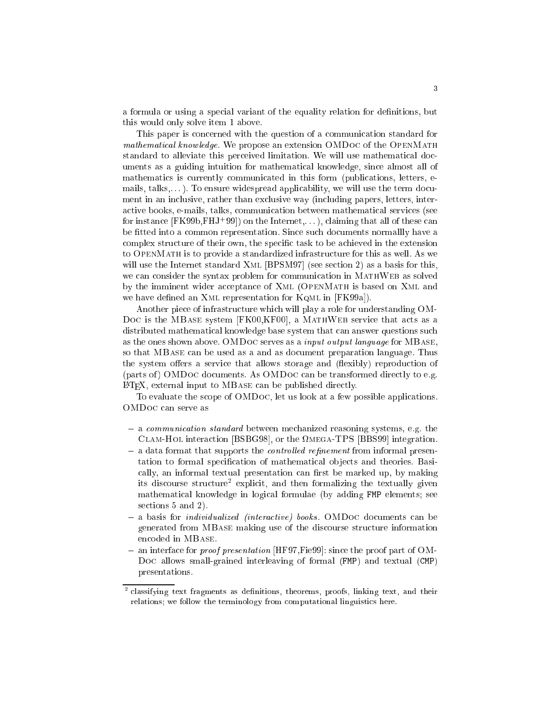a formula or using a special variant of the equality relation for definitions, but this would only solve item 1 above.

This paper is concerned with the question of a communication standard for mathematics we propose all the continues of the OMDo is the OpenMathematic standard to alleviate this perceived limitation. We will use mathematical documents as a guiding intuition for mathemati
al knowledge, sin
e almost all of mathematics is currently communicated in this form (publications, letters, emails, talks,...). To ensure widespread applicability, we will use the term document in an inclusive, rather than exclusive way (including papers, letters, intera
tive books, e-mails, talks, ommuni
ation between mathemati
al servi
es (see for instance  $[FK99b, FHJ<sup>+</sup>99]$  on the Internet,...), claiming that all of these can be fitted into a common representation. Since such documents normally have a complex structure of their own, the specific task to be achieved in the extension to OPENMATH is to provide a standardized infrastructure for this as well. As we will use the Internet standard XML [BPSM97] (see section 2) as a basis for this, we can consider the syntax problem for communication in MATHWEB as solved by the imminent wider acceptance of XML (OPENMATH is based on XML and we have defined an XML representation for KQML in [FK99a]).

Another piece of infrastructure which will play a role for understanding OMe the MBase system (FK00, Hallback that a Mathematic service that a Mathematic Service of the Mathematic Service distributed mathematical knowledge base system that can answer questions such as the ones shown above. OMD oc serves as a *input output language* for MBASE, so that MBase an be used as a and as do
ument preparation language. Thus the system offers a service that allows storage and (flexibly) reproduction of (parts of) OMDOC documents. As OMDOC can be transformed directly to e.g.  $\text{LATEX}$ , external input to MBASE can be published directly.

To evaluate the s
ope of OMDo
, let us look at a few possible appli
ations.

- $-$  a *communication standard* between mechanized reasoning systems, e.g. the cannot a contract integration in the case of the second contract integration.
- a data format that supports the *controlled refinement* from informal presentation to formal specification of mathematical objects and theories. Basically, an informal textual presentation can first be marked up, by making its discourse structure<sup>2</sup> explicit, and then formalizing the textually given mathemati
al knowledge in logi
al formulae (by adding FMP elements; see sections 5 and 2).
- a basis for *individualized (interactive)* books. OMDoc documents can be generated from MBase making use of the dis
ourse stru
ture information en
oded in MBase.
- an interface for *proof presentation* [HF97, Fie99]: since the proof part of OM-Do allows small-grained interleaving of formal (FMP) and textual (CMP) presentations.

<sup>&</sup>lt;sup>2</sup> classifying text fragments as definitions, theorems, proofs, linking text, and their relations; we follow the terminology from computational linguistics here.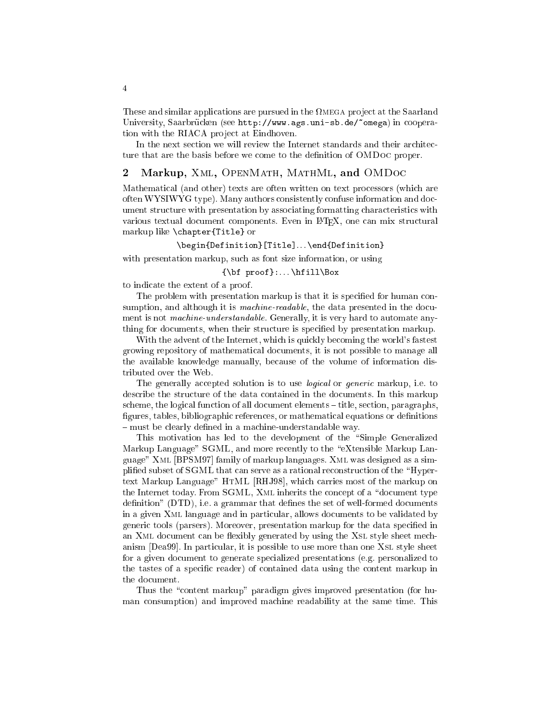These and similar appli
ations are pursued in the mega pro je
t at the Saarland University, Saarbrücken (see http://www.ags.uni-sb.de/~omega) in cooperation with the RIACA project at Eindhoven.

In the next section we will review the Internet standards and their architecture that are the basis before we come to the definition of OMDoc proper.

### 2 Markup, XML, OPENMATH, MATHML, and OMDOC

Mathemati
al (and other) texts are often written on text pro
essors (whi
h are often WYSIWYG type). Many authors consistently confuse information and document structure with presentation by associating formatting characteristics with various textual document components. Even in IATFX, one can mix structural markup like \chapter{Title} or

#### \begin{Definition}[Title]...\end{Definition}

with presentation markup, such as font size information, or using

#### ${\bf f}$ :.. \hfill\Box

to indi
ate the extent of a proof.

The problem with presentation markup is that it is specified for human consumption, and although it is *machine-readable*, the data presented in the document is not *machine-understandable*. Generally, it is very hard to automate anything for documents, when their structure is specified by presentation markup.

With the advent of the Internet, which is quickly becoming the world's fastest growing repository of mathemati
al do
uments, it is not possible to manage all the available knowledge manually, be
ause of the volume of information distributed over the Web.

The generally accepted solution is to use *logical* or *generic* markup, i.e. to describe the structure of the data contained in the documents. In this markup scheme, the logical function of all document elements - title, section, paragraphs, figures, tables, bibliographic references, or mathematical equations or definitions  $-$  must be clearly defined in a machine-understandable way.

This motivation has led to the development of the "Simple Generalized" Markup Language" SGML, and more recently to the "eXtensible Markup Language" XML [BPSM97] family of markup languages. XML was designed as a simplified subset of SGML that can serve as a rational reconstruction of the "Hypertext Markup Language" HTML [RHJ98], which carries most of the markup on the Internet today. From SGML, XML inherits the concept of a "document type definition" (DTD), i.e. a grammar that defines the set of well-formed documents in a given XML language and in particular, allows documents to be validated by generi tools (parsers). Moreover, presentation markup for the data spe
ied in an XML document can be flexibly generated by using the XSL style sheet mechanism  $[Dea99]$ . In particular, it is possible to use more than one XsL style sheet for a given document to generate specialized presentations (e.g. personalized to the tastes of a specific reader) of contained data using the content markup in the document.

Thus the "content markup" paradigm gives improved presentation (for human onsumption) and improved ma
hine readability at the same time. This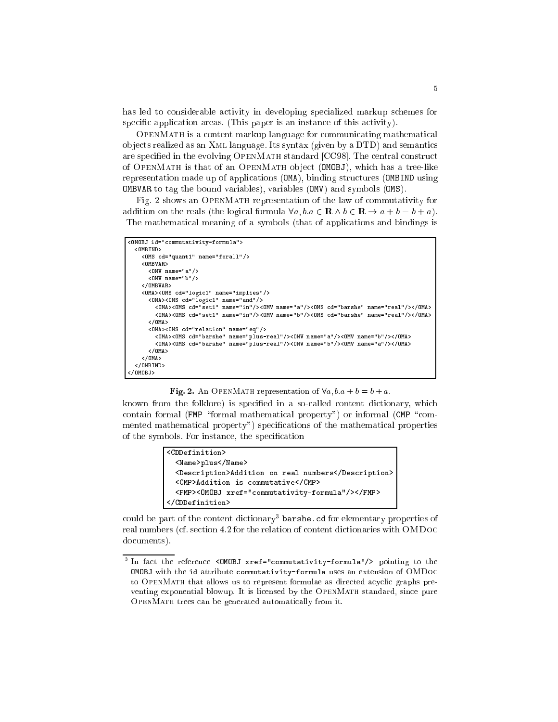has led to considerable activity in developing specialized markup schemes for specific application areas. (This paper is an instance of this activity).

of an except mathematic mathematic company content mathematic mathematic objects realized as an XML language. Its syntax (given by a DTD) and semantics are specified in the evolving OPENMATH standard  $[CC98]$ . The central construct of OpenMath is that of an OpenMath ob je
t (OMOBJ), whi
h has a tree-like representation made up of applications (OMA), binding structures (OMBIND using OMBVAR to tag the bound variables), variables (OMV) and symbols (OMS).

Fig. 2 shows an OPENMATH representation of the law of commutativity for addition on the reals (the logical formula  $\forall a, b \cdot a \in \mathbf{R} \land b \in \mathbf{R} \rightarrow a + b = b + a$ ). The mathematical meaning of a symbols (that of applications and bindings is

```
<OMOBJ id="
ommutativity-formula">
  <OMBIND>
    <OMS 
d="quant1" name="forall"/>
      <OMV name="a"/>
      <OMV name="b"/>
       \sim -b" \sim -b" \sim -b" \sim</OMBVAR>
    <OMA><OMS cd="logic1" name="implies"/>
      <OMA><OMS cd="logic1" name="and"/>
        <OMA><OMS 
d="set1" name="in"/><OMV name="a"/><OMS 
d="barshe" name="real"/></OMA>
        <OMA><OMS cd="set1" name="in"/><OMV name="b"/><OMS cd="barshe" name="real"/></OMA>
      </OMA>
      <OMA><OMS 
d="relation" name="eq"/>
        <OMA><OMS 
d="barshe" name="plus-real"/><OMV name="a"/><OMV name="b"/></OMA>
      <OMA><OMS 
d="barshe" name="plus-real"/><OMV name="b"/><OMV name="a"/></OMA>
       \overline{\phantom{a}}</OMA>
  </OMBIND>
 </OMOBJ>
```
Fig. 2. An OPENMATH representation of  $\forall a, b.a + b = b + a$ .

known from the folklore) is specified in a so-called content dictionary, which contain formal (FMP "formal mathematical property") or informal (CMP "commented mathematical property") specifications of the mathematical properties of the symbols. For instance, the specification

| <cddefinition></cddefinition>                           |
|---------------------------------------------------------|
| <name>plus</name>                                       |
| <description>Addition on real numbers</description>     |
| <cmp>Addition is commutative</cmp>                      |
| <fmp><omobj xref="commutativity-formula"></omobj></fmp> |
|                                                         |

could be part of the content dictionary<sup>3</sup> barshe.cd for elementary properties of real numbers (cf. section 4.2 for the relation of content dictionaries with OMDoc documents).

<sup>3</sup> In fact the reference <OMOBJ xref="commutativity-formula"/> pointing to the OMOBJ with the id attribute commutativity-formula uses an extension of OMDoc to OPENMATH that allows us to represent formulae as directed acyclic graphs preventing exponential blowup. It is licensed by the OPENMATH standard, since pure open math trees and it. All it is a math that we have all it is a set of the set of the set of the set of the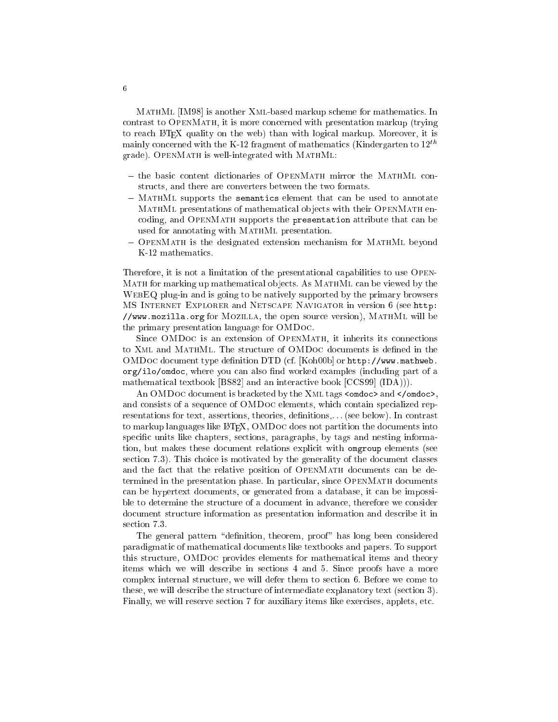Mathematics in the mathematics and mathematics in the mathematics of mathematics in the mathematics of mathematics in ontrast to OpenMath, it is more on
erned with presentation markup (trying to rea
h LATEX quality on the web) than with logi
al markup. Moreover, it is mainly concerned with the K-12 fragment of mathematics (Kindergarten to  $12^{th}$ grade). OPENMATH is well-integrated with MATHML:

- the basic content dictionaries of OPENMATH mirror the MATHML constructs, and there are converters between the two formats.
- $-$  MATHML supports the semantics element that can be used to annotate MathMl presentations of mathemati
al ob je
ts with their OpenMath en coding, and OPENMATH supports the presentation attribute that can be used for annotating with MATHML presentation.
- OPENMATH is the designated extension mechanism for MATHML beyond K-12 mathematics.

Therefore, it is not a limitation of the presentational capabilities to use OPEN-Math for marking up mathemati
al ob je
ts. As MathMl an be viewed by the we be natively supported by the primary browsers to be natively supported by the primary browsers of primary browsers of  $\alpha$ MS Internet Explorer and Nets
ape Navigator in version 6 (see http: //www.mozilla.org for Mozilla, the open sour
e version), MathMl will be the primary presentation language for OMDo
.

Since OMDOC is an extension of OPENMATH, it inherits its connections to XML and MATHML. The structure of OMDOC documents is defined in the ombox of the contract of the contract of the contract of the contract of the contract of the contract of the contract of the contract of the contract of the contract of the contract of the contract of the contract of the c org/ilo/omdoc, where you can also find worked examples (including part of a mathematical textbook  $[BS82]$  and an interactive book  $[CCS99]$   $(IDA$   $))$ .

An OMDoc document is bracketed by the XML tags <omdoc> and </omdoc>. and consists of a sequence of OMDoc elements, which contain specialized representations for text, assertions, theories, definitions,... (see below). In contrast to markup languages like L<sup>AT</sup>EX, OMDoc does not partition the documents into specific units like chapters, sections, paragraphs, by tags and nesting information, but makes these do
ument relations expli
it with omgroup elements (see section 7.3). This choice is motivated by the generality of the document classes and the fact that the relative position of OPENMATH documents can be determined in the presentation phase. In particular, since OPENMATH documents can be hypertext documents, or generated from a database, it can be impossible to determine the structure of a document in advance, therefore we consider document structure information as presentation information and describe it in section 7.3.

The general pattern "definition, theorem, proof" has long been considered paradigmati of mathemati
al do
uments like textbooks and papers. To support this structure, OMD<sub>oc</sub> provides elements for mathematical items and theory items whi
h we will des
ribe in se
tions 4 and 5. Sin
e proofs have a more complex internal structure, we will defer them to section 6. Before we come to these, we will describe the structure of intermediate explanatory text (section 3). Finally, we will reserve section 7 for auxiliary items like exercises, applets, etc.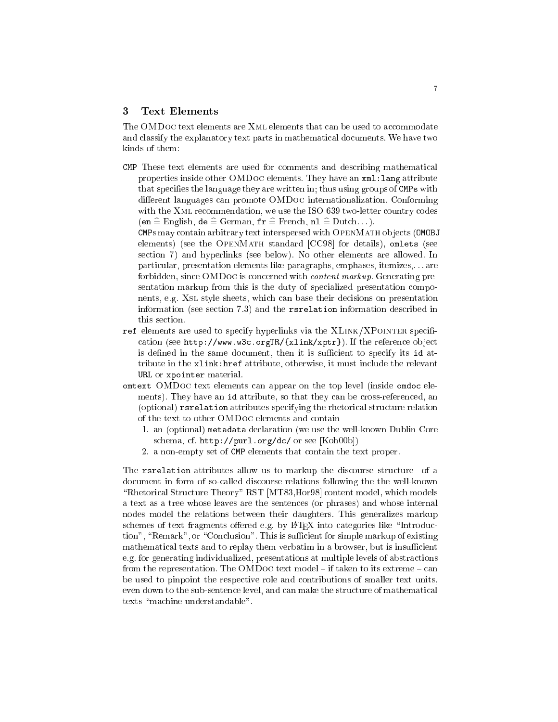# 3 Text Elements

The OMDoc text elements are XML elements that can be used to accommodate and lassify the explanatory text parts in mathemati
al do
uments. We have two kinds of them:

- CMP These text elements are used for omments and des
ribing mathemati
al properties inside other OMDo elements. They have an xml:lang attribute that specifies the language they are written in; thus using groups of CMPs with different languages can promote OMDoc internationalization. Conforming with the XML recommendation, we use the ISO 639 two-letter country codes  $(en \nightharpoonup$  English, de  $\cong$  German,  $fr \nightharpoonup$  French, nl  $\cong$  Dutch...). CMPs may contain arbitrary text interspersed with OPEN MATH objects (OMOBJ elements) (see the OPENMATH standard [CC98] for details), omlets (see se
tion 7) and hyperlinks (see below). No other elements are allowed. In
	- parti
	ular, presentation elements like paragraphs, emphases, itemizes,. . . are forbidden, since OMDOC is concerned with *content markup*. Generating presentation markup from this is the duty of specialized presentation components, e.g. XsL style sheets, which can base their decisions on presentation information (see section 7.3) and the rsrelation information described in this se
	tion.
- ref elements are used to specify hyperlinks via the XLINK/XPOINTER specification (see http://www.w3c.orgTR/{xlink/xptr}). If the reference object is defined in the same document, then it is sufficient to specify its id attribute in the xlink:href attribute, otherwise, it must in
lude the relevant URL or xpointer material.
- omtext OMDoc text elements can appear on the top level (inside omdoc elements). They have an id attribute, so that they can be cross-referenced, an (optional) rsrelation attributes spe
ifying the rhetori
al stru
ture relation of the text to other OMDo elements and ontain
	- 1. an (optional) metadata declaration (we use the well-known Dublin Core schema, cf. http://purl.org/dc/ or see [Koh00b])
	- 2. a non-empty set of CMP elements that ontain the text proper.

The rsrelation attributes allow us to markup the discourse structure of a document in form of so-called discourse relations following the the well-known "Rhetorical Structure Theory" RST [MT83,Hor98] content model, which models a text as a tree whose leaves are the senten
es (or phrases) and whose internal nodes model the relations between their daughters. This generalizes markup schemes of text fragments offered e.g. by LATEX into categories like "Introduction", "Remark", or "Conclusion". This is sufficient for simple markup of existing mathematical texts and to replay them verbatim in a browser, but is insufficient e.g. for generating individualized, presentations at multiple levels of abstra
tions from the representation. The OMDoc text model  $-$  if taken to its extreme  $-$  can be used to pinpoint the respe
tive role and ontributions of smaller text units, even down to the sub-sentence level, and can make the structure of mathematical texts "machine understandable".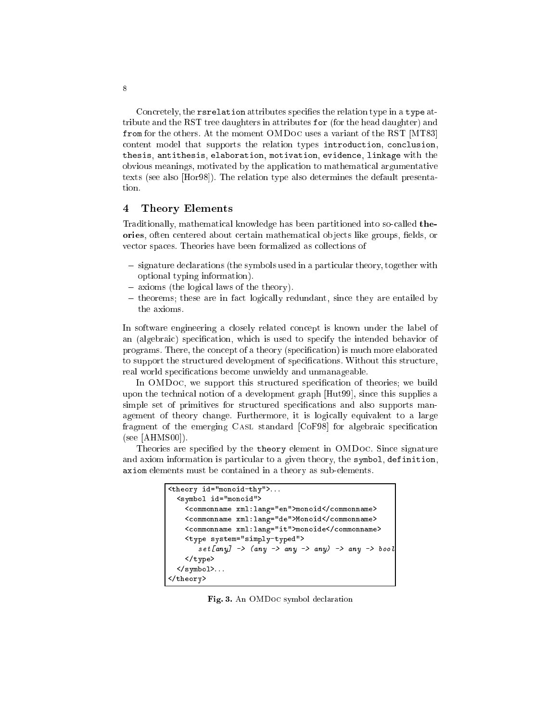Concretely, the rsrelation attributes specifies the relation type in a type attribute and the RST tree daughters in attributes for (for the head daughter) and from for the others. At the moment OMDOC uses a variant of the RST [MT83] content model that supports the relation types introduction, conclusion, thesis, antithesis, elaboration, motivation, eviden
e, linkage with the obvious meanings, motivated by the appli
ation to mathemati
al argumentative texts (see also [Hor98]). The relation type also determines the default presentation.

#### $\overline{\mathbf{4}}$ 4 Theory Elements

Traditionally, mathematical knowledge has been partitioned into so-called theories, often centered about certain mathematical objects like groups, fields, or vector spaces. Theories have been formalized as collections of

- signature declarations (the symbols used in a particular theory, together with optional typing information).
- $=$  axioms (the logical laws of the theory).
- { theorems; these are in fa
t logi
ally redundant, sin
e they are entailed by the axioms.

In software engineering a losely related on
ept is known under the label of an (algebraic) specification, which is used to specify the intended behavior of programs. There, the concept of a theory (specification) is much more elaborated to support the structured development of specifications. Without this structure, real world specifications become unwieldy and unmanageable.

In OMDoc, we support this structured specification of theories; we build upon the technical notion of a development graph [Hut99], since this supplies a simple set of primitives for structured specifications and also supports management of theory hange. Furthermore, it is logi
ally equivalent to a large fragment of the emerging CASL standard  $[CoF98]$  for algebraic specification  $(see [AHMS00]).$ 

Theories are specified by the theory element in OMDoc. Since signature and axiom information is particular to a given theory, the symbol, definition, axiom elements must be ontained in a theory as sub-elements.

```
<theory id="monoid-thy">: : :
 <symbol id="monoid">
   <commonname xml:lang="en">monoid</commonname>
    <commonname xml:lang="de">Monoid</commonname>
    <
ommonname xml:lang="it">monoide</
ommonname>
    <type system="simply-typed">
       set[any℄ -> (any -> any -> any) -> any -> bool
   </type>
 \langle/symbol>\ldots</theory>
```
Fig. 3. An OMDoc symbol declaration

 $\mathbf{8}$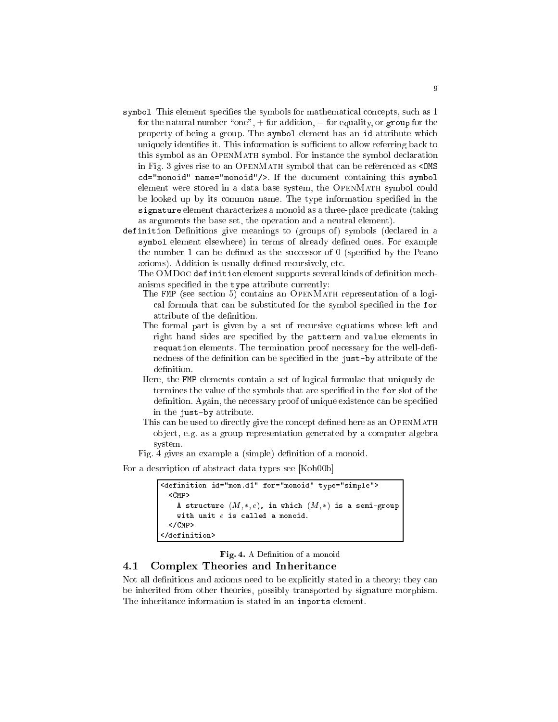- symbol This element specifies the symbols for mathematical concepts, such as 1 for the natural number "one",  $+$  for addition,  $=$  for equality, or group for the property of being a group. The symbol element has an id attribute whi
h uniquely identifies it. This information is sufficient to allow referring back to this symbol as an OPENMATH symbol. For instance the symbol declaration in Fig. 3 gives rise to an OPENMATH symbol that can be referenced as  $\leq$  OMS d="monoid" name="monoid"/>. If the do
ument ontaining this symbol element were stored in a data base system, the OPENMATH symbol could be looked up by its common name. The type information specified in the signature element characterizes a monoid as a three-place predicate (taking as arguments the base set, the operation and a neutral element).
- definition Definitions give meanings to (groups of) symbols (declared in a symbol element elsewhere) in terms of already defined ones. For example the number 1 can be defined as the successor of  $\theta$  (specified by the Peano axioms). Addition is usually defined recursively, etc.

The OMDoc definition element supports several kinds of definition mechanisms specified in the type attribute currently:

- The FMP (see section 5) contains an OPENMATH representation of a logical formula that can be substituted for the symbol specified in the for attribute of the definition.
- The formal part is given by a set of recursive equations whose left and right hand sides are specified by the pattern and value elements in requation elements. The termination proof necessary for the well-definedness of the definition can be specified in the just-by attribute of the definition.
- Here, the FMP elements contain a set of logical formulae that uniquely determines the value of the symbols that are specified in the for slot of the definition. Again, the necessary proof of unique existence can be specified in the just-by attribute.
- This can be used to directly give the concept defined here as an OPENMATH ob je
t, e.g. as a group representation generated by a omputer algebra system.
- Fig. 4 gives an example a (simple) definition of a monoid.

For a description of abstract data types see [Koh00b]

```
<definition id="mon.d1" for="monoid" type="simple">
  \langle CMP \rangleA structure (M, *, e), in which (M, *) is a semi-group
    with unit e is called a monoid.
  \langle/CMP>
  \blacksquare</definition>
```
Fig. 4. A Definition of a monoid

# 4.1 Complex Theories and Inheritan
e

Not all definitions and axioms need to be explicitly stated in a theory; they can be inherited from other theories, possibly transported by signature morphism. The inheritan
e information is stated in an imports element.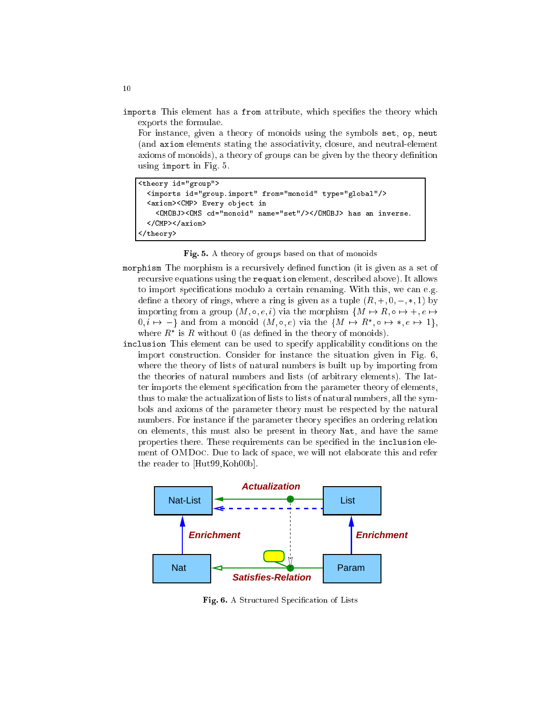imports This element has a from attribute, which specifies the theory which exports the formulae.

For instan
e, given a theory of monoids using the symbols set, op, neut (and axiom elements stating the asso
iativity, losure, and neutral-element axioms of monoids), a theory of groups can be given by the theory definition using import in Fig. 5.

```
<theory id="group">
  <imports id="group.import" from="monoid" type="global"/>
  <axiom><CMP> Every obje
t in
    <OMOBJ><OMS 
d="monoid" name="set"/></OMOBJ> has an inverse.
  </CMP></axiom>
</theory>
```
Fig. 5. A theory of groups based on that of monoids

- morphism The morphism is a recursively defined function (it is given as a set of recursive equations using the requation element, described above). It allows to import specifications modulo a certain renaming. With this, we can e.g. define a theory of rings, where a ring is given as a tuple  $(R, +, 0, -, *, 1)$  by importing from a group  $(M, \circ, e, i)$  via the morphism  $\{M \mapsto R, \circ \mapsto +, e \mapsto$  $0, i \mapsto -\}$  and from a monoid  $(M, \circ, e)$  via the  $\{M \mapsto R^*, \circ \mapsto *, e \mapsto 1\},$ where  $R^*$  is R without 0 (as defined in the theory of monoids).
- inclusion This element can be used to specify applicability conditions on the import construction. Consider for instance the situation given in Fig. 6, where the theory of lists of natural numbers is built up by importing from the theories of natural numbers and lists (of arbitrary elements). The latter imports the element specification from the parameter theory of elements, thus to make the a
tualization of lists to lists of natural numbers, all the symbols and axioms of the parameter theory must be respe
ted by the natural numbers. For instance if the parameter theory specifies an ordering relation on elements, this must also be present in theory Nat, and have the same properties there. These requirements can be specified in the inclusion element of OMDo
. Due to la
k of spa
e, we will not elaborate this and refer the reader to  $[{\rm Hut99, Koh00b}].$



Fig. 6. A Structured Specification of Lists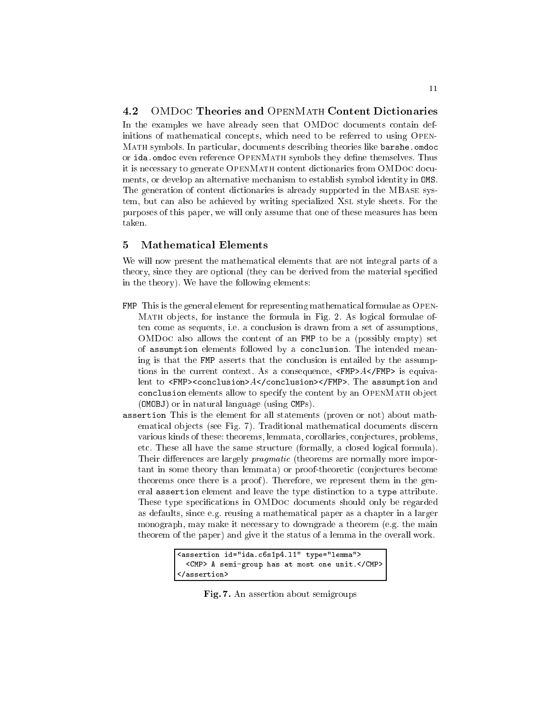### 4.2 OMDOC Theories and OPENMATH Content Dictionaries

In the examples we have already seen that OMDoc documents contain definitions of mathematical concepts, which need to be referred to using OPEN-Math symbols. In parti
ular, do
uments des
ribing theories like barshe.omdo or ida.omdo even referen
e OpenMath symbols they dene themselves. Thus it is ne
essary to generate OpenMath ontent di
tionaries from OMDo do
uments, or develop an alternative me
hanism to establish symbol identity in OMS. The generation of content dictionaries is already supported in the MBASE system, but can also be achieved by writing specialized XsL style sheets. For the purposes of this paper, we will only assume that one of these measures has been taken.

### 5 Mathemati
al Elements

We will now present the mathematical elements that are not integral parts of a theory, since they are optional (they can be derived from the material specified in the theory). We have the following elements:

- FMP This is the general element for representing mathematical formulae as OPEN-Math ob je
ts, for instan
e the formula in Fig. 2. As logi
al formulae often ome as sequents, i.e. a on
lusion is drawn from a set of assumptions, ontent of an FMP to be allows the and the allows the property of an  $\mathcal{S}$ of assumption elements followed by a on
lusion. The intended meaning is that the FMP asserts that the on
lusion is entailed by the assumptions in the current context. As a consequence,  $\langle FMP \rangle A \langle FMP \rangle$  is equivalent to  $\langle FMP \rangle \langle \text{conclusion} \rangle A \langle \text{conclusion} \rangle \langle \langle \text{FMP} \rangle$ . The assumption and conclusion elements allow to specify the content by an OPENMATH object (OMOBJ) or in natural language (using CMPs).
- assertion This is the element for all statements (proven or not) about mathematical objects (see Fig. 7). Traditional mathematical documents discern various kinds of these: theorems, lemmata, orollaries, onje
tures, problems, etc. These all have the same structure (formally, a closed logical formula). Their differences are largely *pragmatic* (theorems are normally more important in some theory than lemmata) or proof-theoretic (conjectures become theorems once there is a proof). Therefore, we represent them in the general assertion element and leave the type distinction to a type attribute. These type specifications in OMDoc documents should only be regarded as defaults, sin
e e.g. reusing a mathemati
al paper as a hapter in a larger monograph, may make it ne
essary to downgrade a theorem (e.g. the main theorem of the paper) and give it the status of a lemma in the overall work.

```
<assertion id="ida.
6s1p4.l1" type="lemma">
 <CMP> A semi-group has at most one unit.</CMP>
</assertion>
```
Fig. 7. An assertion about semigroups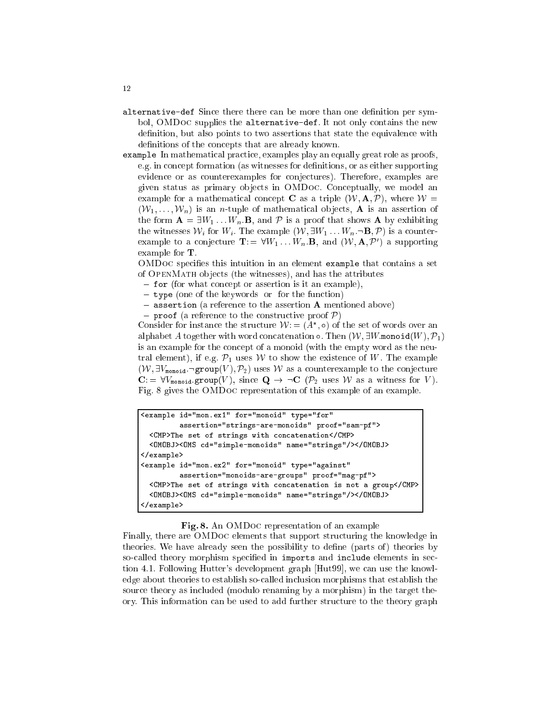- alternative-def Since there there can be more than one definition per symbol, OMDoc supplies the alternative-def. It not only contains the new definition, but also points to two assertions that state the equivalence with definitions of the concepts that are already known.
- example In mathematical practice, examples play an equally great role as proofs, e.g. in concept formation (as witnesses for definitions, or as either supporting eviden
e or as ounterexamples for onje
tures). Therefore, examples are given status as primary objects in OMDoc. Conceptually, we model an example for a mathematical concept **C** as a triple  $(\mathcal{W}, \mathbf{A}, \mathcal{P})$ , where  $\mathcal{W} =$  $(\mathcal{W}_1,\ldots,\mathcal{W}_n)$  is an *n*-tuple of mathematical objects, **A** is an assertion of the form  $\mathbf{A} = \exists W_1 \dots W_n \mathbf{B}$ , and  $\mathcal{P}$  is a proof that shows  $\mathbf{A}$  by exhibiting the witnesses  $W_i$  for  $W_i$ . The example  $(W, \exists W_1 \dots W_n \neg B, \mathcal{P})$  is a counterexample to a conjecture  $\mathbf{T} = \forall W_1 \dots W_n$ . B, and  $(\mathcal{W}, \mathbf{A}, \mathcal{P}')$  a supporting example for  $T$ . example for the term of the term of the term of the term of the term of the term of the term of the term of the

omde in interesting in an element example that in an element in an element of the set of OpenMath ob je
ts (the witnesses), and has the attributes

- for (for what concept or assertion is it an example),
- type (one of the keywords or for the function)
- $-$  assertion (a reference to the assertion **A** mentioned above)
- $\mathcal{P}$  proof (a reference to the constructive proof  $\mathcal{P}$ )

Consider for instance the structure  $W = (A^*, \circ)$  of the set of words over an alphabet A together with word concatenation  $\circ$ . Then  $(\mathcal{W}, \exists W$  monoid $(W), \mathcal{P}_1)$ is an example for the concept of a monoid (with the empty word as the neutral element), if e.g.  $\mathcal{P}_1$  uses W to show the existence of W. The example  $(W, \exists V_{\text{monic}} \neg \text{group}(V), \mathcal{P}_2)$  uses W as a counterexample to the conjecture  $\mathbf{C} = \forall V_{\text{monoid}}.\text{group}(V), \text{ since } \mathbf{Q} \to \neg \mathbf{C} \ (\mathcal{P}_2 \text{ uses } \mathcal{W} \text{ as a witness for } V).$ Fig. 8 gives the OMDo representation of this example of an example.

```
<example id="mon.ex1" for="monoid" type="for"
         assertion="strings-are-monoids" proof="sam-pf">
 <CMP>The set of strings with concatenation</CMP>
 <OMOBJ><OMS cd="simple-monoids" name="strings"/></OMOBJ>
</example>
<example id="mon.ex2" for="monoid" type="against"
         assertion="monoids-are-groups" proof="mag-pf">
 <CMP>The set of strings with concatenation is not a group</CMP>
 <OMOBJ><OMS 
d="simple-monoids" name="strings"/></OMOBJ>
</example>
```
### Fig. 8. An OMDo representation of an example

Finally, there are OMDoc elements that support structuring the knowledge in theories. We have already seen the possibility to define (parts of) theories by so-called theory morphism specified in imports and include elements in section 4.1. Following Hutter's development graph [Hut99], we can use the knowledge about theories to establish soalled in
lusion morphisms that establish the source theory as included (modulo renaming by a morphism) in the target theory. This information can be used to add further structure to the theory graph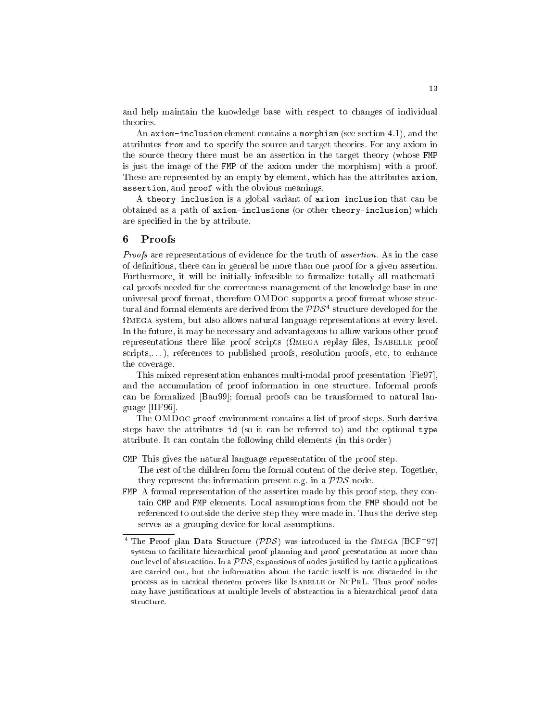and help maintain the knowledge base with respe
t to hanges of individual theories.

An axiom-inclusion element contains a morphism (see section 4.1), and the attributes from and to spe
ify the sour
e and target theories. For any axiom in the sour
e theory there must be an assertion in the target theory (whose FMP is just the image of the FMP of the axiom under the morphism) with a proof. These are represented by an empty by element, which has the attributes axiom, assertion, and proof with the obvious meanings.

A theory-in
lusion is a global variant of axiom-in
lusion that an be obtained as a path of axiom-inclusions (or other theory-inclusion) which are specified in the by attribute.

#### 6 Proofs

Proofs are representations of eviden
e for the truth of assertion. As in the ase of definitions, there can in general be more than one proof for a given assertion. Furthermore, it will be initially infeasible to formalize totally all mathemati al proofs needed for the orre
tness management of the knowledge base in one universal proof format, therefore OMDoc supports a proof format whose structural and formal elements are derived from the  $\mathcal{PDS}^{4}$  structure developed for the mega system, but also allows natural language representations at every level. In the future, it may be ne
essary and advantageous to allow various other proof representations there like proof s
ripts ( mega replay les, Isabelle proof scripts,...), references to published proofs, resolution proofs, etc, to enhance the overage.

This mixed representation enhances multi-modal proof presentation [Fie97], and the accumulation of proof information in one structure. Informal proofs can be formalized [Bau99]; formal proofs can be transformed to natural language [HF96].

The OMDoc proof environment contains a list of proof steps. Such derive steps have the attributes id (so it an be referred to) and the optional type attribute. It an ontain the following hild elements (in this order)

- CMP This gives the natural language representation of the proof step.
	- The rest of the hildren form the formal ontent of the derive step. Together, they represent the information present e.g. in a  $PDS$  node.
- FMP A formal representation of the assertion made by this proof step, they contain CMP and FMP elements. Lo
al assumptions from the FMP should not be referen
ed to outside the derive step they were made in. Thus the derive step serves as a grouping device for local assumptions.

<sup>4</sup> The Proof plan Data Structure ( $\mathcal{PDS}$ ) was introduced in the  $\Omega_{\text{MEGA}}$  [BCF<sup>+</sup>97] system to facilitate hierarchical proof planning and proof presentation at more than one level of abstraction. In a  $PDS$ , expansions of nodes justified by tactic applications are carried out, but the information about the tactic itself is not discarded in the process as in tactical theorem provers like ISABELLE or NUPRL. Thus proof nodes may have justifications at multiple levels of abstraction in a hierarchical proof data structure.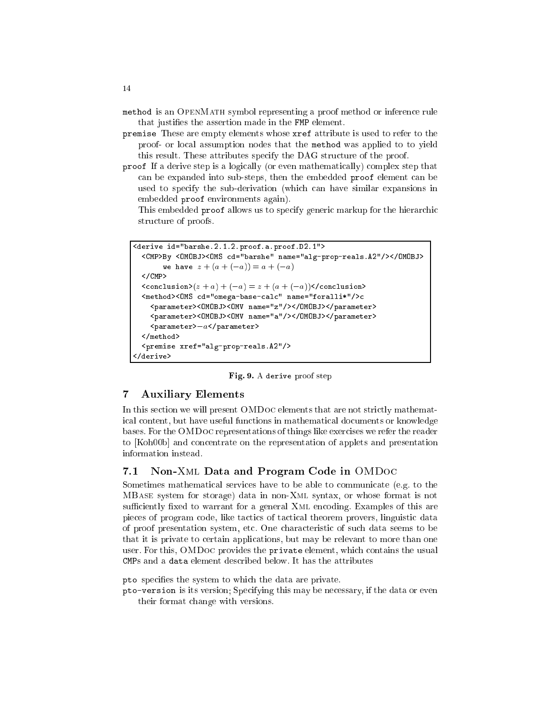method is an OpenMath symbol representing a proof method or inferen
e rule that justies the assertion made in the FMP element.

- premise These are empty elements whose xref attribute is used to refer to the proof- or lo
al assumption nodes that the method was applied to to yield this result. These attributes specify the DAG structure of the proof.
- proof If a derive step is a logically (or even mathematically) complex step that an be expanded into sub-steps, then the embedded proof element an be used to specify the sub-derivation (which can have similar expansions in embedded proof environments again).

This embedded proof allows us to specify generic markup for the hierarchic structure of proofs.

```
<derive id="barshe.2.1.2.proof.a.proof.D2.1">
 <CMP>By <OMOBJ><OMS 
d="barshe" name="alg-prop-reals.A2"/></OMOBJ>
       we have z + (a + (-a)) = a + (-a)</CMP>
 \text{Conclusion}(z + a) + (-a) = z + (a + (-a))<method><0MS cd="omega-base-calc" name="foralli*"/>c
    <parameter><OMOBJ><OMV name="z"/></OMOBJ></parameter>
    <parameter><OMOBJ><OMV name="a"/></OMOBJ></parameter>
    \epsilon /parameter> -a\epsilon/parameter>
 </method>
 <premise xref="alg-prop-reals.A2"/>
</derive>
```
Fig. 9. A derive proof step

#### $\overline{7}$ 7 Auxiliary Elements

In this section we will present OMDoc elements that are not strictly mathemati
al ontent, but have useful fun
tions in mathemati
al do
uments or knowledge bases. For the OMDOC representations of things like exercises we refer the reader to [Koh00b] and concentrate on the representation of applets and presentation information instead.

#### $7.1$ Non-XML Data and Program Code in OMDoc

Sometimes mathematical services have to be able to communicate (e.g. to the MBase system for storage) data in non-Xml syntax, or whose format is not sufficiently fixed to warrant for a general XML encoding. Examples of this are pieces of program code, like tactics of tactical theorem provers, linguistic data of proof presentation system, et
. One hara
teristi of su
h data seems to be that it is private to ertain appli
ations, but may be relevant to more than one user. For this, OMDoc provides the private element, which contains the usual CMPs and a data element des
ribed below. It has the attributes

pto spe
ies the system to whi
h the data are private.

pto-version is its version; Spe
ifying this may be ne
essary, if the data or even their format hange with versions.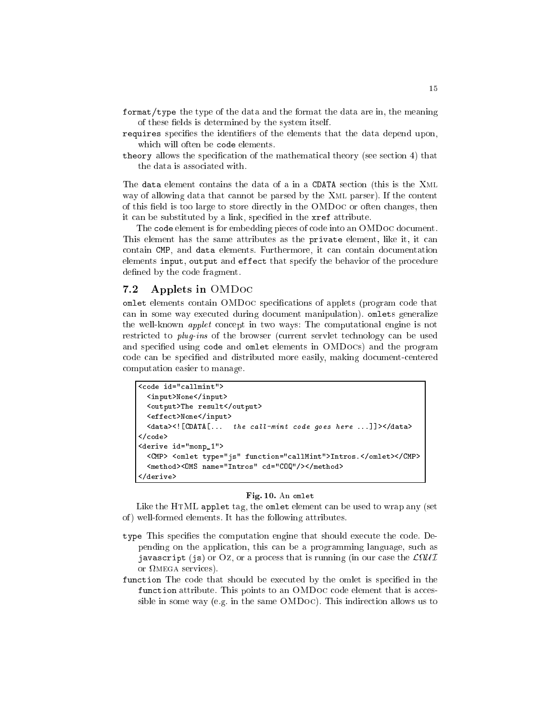format/type the type of the data and the format the data are in, the meaning of these fields is determined by the system itself.

- requires specifies the identifiers of the elements that the data depend upon, whi
h will often be ode elements.
- theory allows the specification of the mathematical theory (see section 4) that the data is asso
iated with.

The data element contains the data of a in a CDATA section (this is the XML way of allowing data that cannot be parsed by the XML parser). If the content of this field is too large to store directly in the OMDoc or often changes, then it can be substituted by a link, specified in the xref attribute.

The code element is for embedding pieces of code into an OMDOC document. This element has the same attributes as the private element, like it, it can contain CMP, and data elements. Furthermore, it can contain documentation elements input, output and effect that specify the behavior of the procedure defined by the code fragment.

### 7.2 Applets in OMDo

omlet elements ontain OMDo spe
i
ations of applets (program ode that an in some way exe
uted during do
ument manipulation). omlets generalize the well-known *applet* concept in two ways: The computational engine is not restricted to *plug-ins* of the browser (current servlet technology can be used and specified using code and omlet elements in OMDocs) and the program ode an be spe
ied and distributed more easily, making do
umententered omputation easier to manage.

```
<code id="callmint">
  <input>None</input>
  <output>The result</output>
  <effe
t>None</input>
  <data><! [CDATA[... the call-mint code goes here ...]]></data>
</code>
<derive id="monp_1">
  <CMP> <omlet type="js" function="callMint">Intros.</omlet></CMP>
  <method><OMS name="Intros" 
d="COQ"/></method>
</derive>
```
#### Fig. 10. An omlet

Like the HTML applet tag, the omlet element can be used to wrap any (set of ) well-formed elements. It has the following attributes.

- type This specifies the computation engine that should execute the code. Depending on the application, this can be a programming language, such as javas
ript (js) or Oz, or a pro
ess that is running (in our ase the <sup>L</sup>U I or mega servi
es).
- function The code that should be executed by the omlet is specified in the function attribute. This points to an OMDoc code element that is accessible in some way (e.g. in the same OMDoc). This indirection allows us to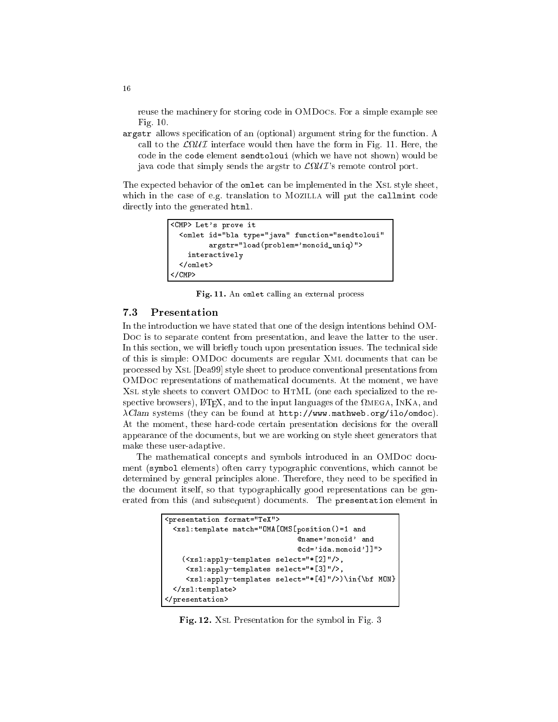reuse the machinery for storing code in OMDocs. For a simple example see Fig. 10.

argstr allows specification of an (optional) argument string for the function. A all to the <sup>L</sup>U I interfa
e would then have the form in Fig. 11. Here, the ode in the ode element sendtoloui (whi
h we have not shown) would be java code that simply sends the argstr to  $\mathcal{L}\Omega\mathcal{U}\mathcal{I}'$ 's remote control port.

The expected behavior of the omlet can be implemented in the XsL style sheet, which in the case of e.g. translation to MOZILLA will put the callmint code directly into the generated html.

```
<CMP> Let's prove it
 <omlet id="bla type="java" fun
tion="sendtoloui"
         argstr="load(problem='monoid_uniq)">
    intera
tively
 </omlet>
</CMP>
```
Fig. 11. An omlet calling an external process

#### 7.3 Presentation

In the introduction we have stated that one of the design intentions behind OM-Do is to separate ontent from presentation, and leave the latter to the user. In this section, we will briefly touch upon presentation issues. The technical side of this is simple: OMDo do
uments are regular Xml do
uments that an be processed by XsL [Dea99] style sheet to produce conventional presentations from OMDo representations of mathemati
al do
uments. At the moment, we have Xsl style sheets to onvert OMDo to HtML (one ea
h spe
ialized to the respective browsers), L<sup>A</sup>TEX, and to the input languages of the  $\Omega$ MEGA, INKA, and  $\lambda$ Clam systems (they can be found at http://www.mathweb.org/ilo/omdoc). At the moment, these hard-code certain presentation decisions for the overall appearan
e of the do
uments, but we are working on style sheet generators that make these user-adaptive.

The mathematical concepts and symbols introduced in an OMDoc document (symbol elements) often carry typographic conventions, which cannot be determined by general principles alone. Therefore, they need to be specified in the document itself, so that typographically good representations can be generated from this (and subsequent) do
uments. The presentation element in

```
<presentation format="TeX">
 <xsl:template mat
h="OMA[OMS[position()=1 and
                               name='monoid' and
                               @cd='ida.monoid']!">
   (<xsl:apply-templates select="*[2]"/>,
    <xsl:apply-templates select="*[3]"/>,
    <xsl:apply-templates select="*[4]"/>)\in{\bf MON}
 </xsl:template>
</presentation>
```
Fig. 12. Xsl Presentation for the symbol in Fig. 3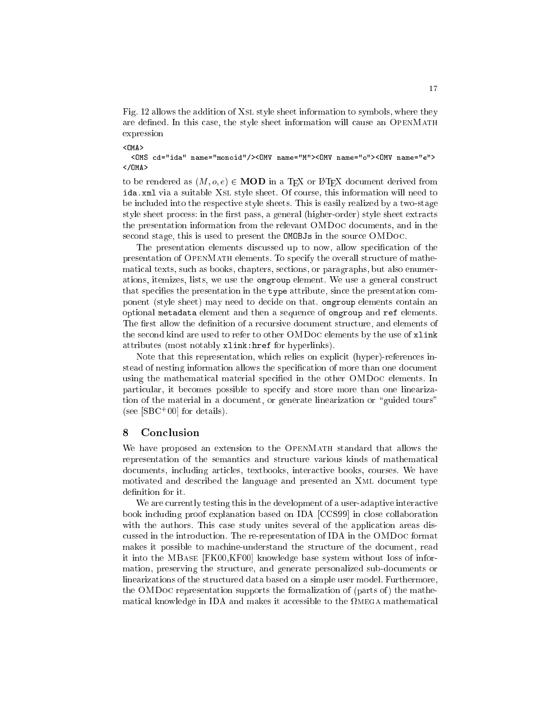Fig. 12 allows the addition of Xsl style sheet information to symbols, where they are defined. In this case, the style sheet information will cause an OPENMATH expression

<0MS cd="ida" name="monoid"/><0MV name="M"><0MV name="o"><0MV name="e"> <OMS d="ida" name="monoid"/><OMV name="M"><OMV name="o"><OMV name="e">  $\sim$   $\sim$   $\sim$   $\sim$   $\sim$   $\sim$ 

to be rendered as  $(M, o, e) \in \text{MOD}$  in a T<sub>E</sub>X or L<sup>AT</sup>EX document derived from ida.xml via a suitable Xsl style sheet. Of ourse, this information will need to be in
luded into the respe
tive style sheets. This is easily realized by a two-stage style sheet process: in the first pass, a general (higher-order) style sheet extracts the presentation information from the relevant OMDo do
uments, and in the second stage, this is used to present the **OMOBJs** in the source OMDoc.

The presentation elements discussed up to now, allow specification of the presentation of OPENMATH elements. To specify the overall structure of mathemati
al texts, su
h as books, hapters, se
tions, or paragraphs, but also enumerations, itemizes, lists, we use the omgroup element. We use a general onstru
t that specifies the presentation in the type attribute, since the presentation component (style sheet) may need to de
ide on that. omgroup elements ontain an optional metadata element and then a sequen
e of omgroup and ref elements. The first allow the definition of a recursive document structure, and elements of the se
ond kind are used to refer to other OMDo elements by the use of xlink attributes (most notably xlink:href for hyperlinks).

Note that this representation, which relies on explicit (hyper)-references instead of nesting information allows the specification of more than one document using the mathematical material specified in the other OMDoc elements. In parti
ular, it be
omes possible to spe
ify and store more than one linearization of the material in a document, or generate linearization or "guided tours" (see  $[{\rm SBC}^+00]$  for details).

#### Conclusion 8

 $<$  OMA $>$ 

We have proposed an extension to the OPENMATH standard that allows the representation of the semantics and structure various kinds of mathematical documents, including articles, textbooks, interactive books, courses. We have motivated and des
ribed the language and presented an Xml do
ument type definition for it.

We are currently testing this in the development of a user-adaptive interactive book including proof explanation based on IDA [CCS99] in close collaboration with the authors. This case study unites several of the application areas discussed in the introduction. The re-representation of IDA in the OMD oc format makes it possible to machine-understand the structure of the document, read it into the MBASE [FK00,KF00] knowledge base system without loss of information, preserving the structure, and generate personalized sub-documents or linearizations of the stru
tured data based on a simple user model. Furthermore, the OMD oc representation supports the formalization of (parts of) the mathemati
al knowledge in IDA and makes it a

essible to the mega mathemati
al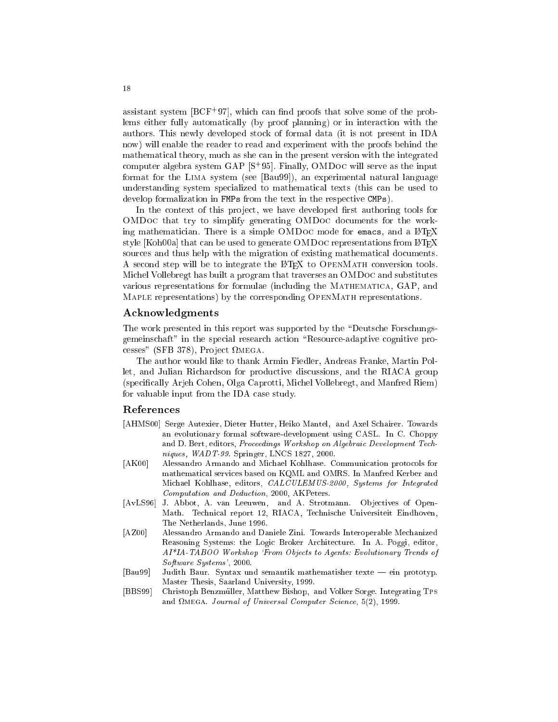assistant system  $[BCF+97]$ , which can find proofs that solve some of the problems either fully automatically (by proof planning) or in interaction with the authors. This newly developed sto
k of formal data (it is not present in IDA now) will enable the reader to read and experiment with the proofs behind the mathemati
al theory, mu
h as she an in the present version with the integrated computer algebra system GAP  $[S^+95]$ . Finally, OMDoc will serve as the input format for the LIMA system (see [Bau99]), an experimental natural language understanding system spe
ialized to mathemati
al texts (this an be used to develop formalization in FMPs from the text in the respective CMPs).

In the context of this project, we have developed first authoring tools for OMDo that try to simplify generating OMDo do
uments for the working mathematician. There is a simple OMDoc mode for emacs, and a IATFX style [Koh00a] that can be used to generate  $\rm OMDOC$  representations from  $\rm EFT$ <sub>EX</sub> sources and thus help with the migration of existing mathematical documents. A second step will be to integrate the LAT<sub>EX</sub> to OPENMATH conversion tools. Michel Vollebregt has built a program that traverses an OMDoc and substitutes various representations for formulae (including the MATHEMATICA, GAP, and Maple representations) by the orresponding OpenMath representations.

### A
knowledgments

The work presented in this report was supported by the "Deutsche Forschungsgemeinschaft" in the special research action "Resource-adaptive cognitive proesses" (SFB 378), Pro je
t mega.

The author would like to thank Armin Fiedler, Andreas Franke, Martin Pollet, and Julian Richardson for productive discussions, and the RIACA group (specifically Arjeh Cohen, Olga Caprotti, Michel Vollebregt, and Manfred Riem) for valuable input from the IDA case study.

### Referen
es

- [AHMS00] Serge Autexier, Dieter Hutter, Heiko Mantel, and Axel Schairer. Towards an evolutionary formal software-development using CASL. In C. Choppy and D. Bert, editors, Proceedings Workshop on Algebraic Development Techniques, WADT-99. Springer, LNCS 1827, 2000.
- [AK00] Alessandro Armando and Michael Kohlhase. Communication protocols for mathemati
al servi
es based on KQML and OMRS. In Manfred Kerber and Mi
hael Kohlhase, editors, CALCULEMUS-2000, Systems for Integrated Computation and Deduction, 2000, AKPeters.
- [AvLS96] J. Abbot, A. van Leeuwen, and A. Strotmann. Objectives of Open-Math. Te
hni
al report 12, RIACA, Te
hnis
he Universiteit Eindhoven, The Netherlands, June 1996.
- [AZ00] Alessandro Armando and Daniele Zini. Towards Interoperable Mechanized Reasoning Systems: the Logic Broker Architecture. In A. Poggi, editor, AI\*IA-TABOO Workshop 'From Objects to Agents: Evolutionary Trends of Software Systems', 2000.
- [Bau99] Judith Baur. Syntax und semantik mathematisher texte ein prototyp. Master Thesis, Saarland University, 1999.
- [BBS99] Christoph Benzmüller, Matthew Bishop, and Volker Sorge. Integrating Tps men senten it. Gowllows if Giovoulows Computer Sovetion, Giovous S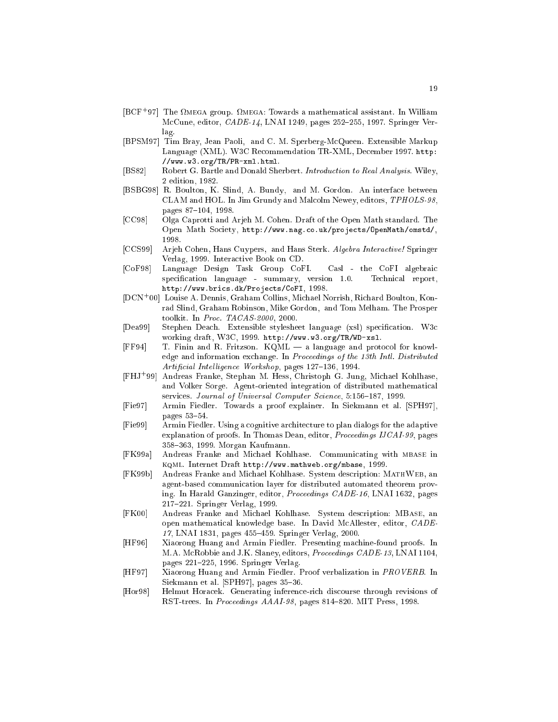- [BCF<sup>+</sup>97] The  $\Omega$ MEGA group.  $\Omega$ MEGA: Towards a mathematical assistant. In William McCune, editor, CADE-14, LNAI 1249, pages 252-255, 1997. Springer Verlag.
- [BPSM97] Tim Bray, Jean Paoli, and C. M. Sperberg-McQueen. Extensible Markup Language (XML). W3C Recommendation TR-XML, December 1997. http: //www.w3.org/TR/PR-xml.html.
- [BS82] Robert G. Bartle and Donald Sherbert. Introduction to Real Analysis. Wiley, 2 edition, 1982.
- [BSBG98] R. Boulton, K. Slind, A. Bundy, and M. Gordon. An interface between CLAM and HOL. In Jim Grundy and Malcolm Newey, editors, TPHOLS-98, pages 87-104, 1998.
- [CC98] Olga Caprotti and Arjeh M. Cohen. Draft of the Open Math standard. The Open Math So
iety, http://www.nag.
o.uk/proje
ts/OpenMath/omstd/, 1998
- [CCS99] Arjeh Cohen, Hans Cuypers, and Hans Sterk. Algebra Interactive! Springer Verlag, 1999. Intera
tive Book on CD.
- [CoF98] Language Design Task Group CoFI. Casl the CoFI algebraic specification language - summary, version 1.0. Technical report, http://www.brics.dk/Projects/CoFI, 1998.
- $[DCN^+00]$  Louise A. Dennis, Graham Collins, Michael Norrish, Richard Boulton, Konrad Slind, Graham Robinson, Mike Gordon, and Tom Melham. The Prosper toolkit. In Pro
. TACAS-2000, 2000.
- [Dea99] Stephen Deach. Extensible stylesheet language (xsl) specification. W3c working draft, W3C, 1999. http://www.w3.org/TR/WD-xsl.
- [FF94] T. Finin and R. Fritzson. KQML a language and protocol for knowledge and information exchange. In Proceedings of the 13th Intl. Distributed Artificial Intelligence Workshop, pages 127-136, 1994.
- $[FHJ+99]$ Andreas Franke, Stephan M. Hess, Christoph G. Jung, Michael Kohlhase, and Volker Sorge. Agent-oriented integration of distributed mathemati
al services. Journal of Universal Computer Science, 5:156-187, 1999.
- [Fie97] Armin Fiedler. Towards a proof explainer. In Siekmann et al. [SPH97], pages 53-54.
- [Fie99] Armin Fiedler. Using a cognitive architecture to plan dialogs for the adaptive explanation of proofs. In Thomas Dean, editor, Proceedings IJCAI-99, pages 358-363, 1999. Morgan Kaufmann.
- [FK99a] Andreas Franke and Michael Kohlhase. Communicating with MBASE in kqml. Internet Draft http://www.mathweb.org/mbase, 1999.
- [FK99b] Andreas Franke and Michael Kohlhase. System description: MATHWEB, an agent-based ommuni
ation layer for distributed automated theorem proving. In Harald Ganzinger, editor, Pro
eedings CADE-16, LNAI 1632, pages 217-221. Springer Verlag, 1999.
- [FK00] Andreas Franke and Michael Kohlhase. System description: MBASE, an open mathemati
al knowledge base. In David M
Allester, editor, CADE-17, LNAI 1831, pages 455-459. Springer Verlag, 2000.
- [HF96] Xiaorong Huang and Armin Fiedler. Presenting machine-found proofs. In M.A. M
Robbie and J.K. Slaney, editors, Pro
eedings CADE-13, LNAI 1104, pages 221-225, 1996. Springer Verlag.
- [HF97] Xiaorong Huang and Armin Fiedler. Proof verbalization in PROVERB. In Siekmann et al. [SPH97], pages 35-36.
- [Hor98] Helmut Horacek. Generating inference-rich discourse through revisions of RST-trees. In Proceedings AAAI-98, pages 814-820. MIT Press, 1998.